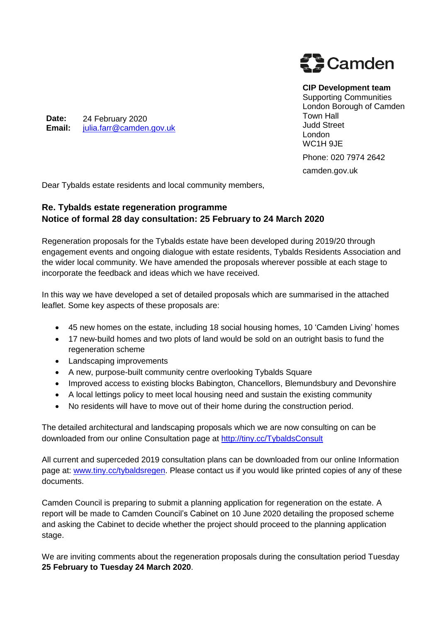

**CIP Development team**

Supporting Communities London Borough of Camden Town Hall Judd Street London WC1H 9JE

Phone: 020 7974 2642

camden.gov.uk

Dear Tybalds estate residents and local community members,

## **Re. Tybalds estate regeneration programme Notice of formal 28 day consultation: 25 February to 24 March 2020**

Regeneration proposals for the Tybalds estate have been developed during 2019/20 through engagement events and ongoing dialogue with estate residents, Tybalds Residents Association and the wider local community. We have amended the proposals wherever possible at each stage to incorporate the feedback and ideas which we have received.

In this way we have developed a set of detailed proposals which are summarised in the attached leaflet. Some key aspects of these proposals are:

- 45 new homes on the estate, including 18 social housing homes, 10 'Camden Living' homes
- 17 new-build homes and two plots of land would be sold on an outright basis to fund the regeneration scheme
- Landscaping improvements
- A new, purpose-built community centre overlooking Tybalds Square
- Improved access to existing blocks Babington, Chancellors, Blemundsbury and Devonshire
- A local lettings policy to meet local housing need and sustain the existing community
- No residents will have to move out of their home during the construction period.

The detailed architectural and landscaping proposals which we are now consulting on can be downloaded from our online Consultation page at<http://tiny.cc/TybaldsConsult>

All current and superceded 2019 consultation plans can be downloaded from our online Information page at: [www.tiny.cc/tybaldsregen.](http://www.tiny.cc/tybaldsregen) Please contact us if you would like printed copies of any of these documents.

Camden Council is preparing to submit a planning application for regeneration on the estate. A report will be made to Camden Council's Cabinet on 10 June 2020 detailing the proposed scheme and asking the Cabinet to decide whether the project should proceed to the planning application stage.

We are inviting comments about the regeneration proposals during the consultation period Tuesday **25 February to Tuesday 24 March 2020**.

**Date: Email:** 24 February 2020 [julia.farr@camden.gov.uk](mailto:julia.farr@camden.gov.uk)